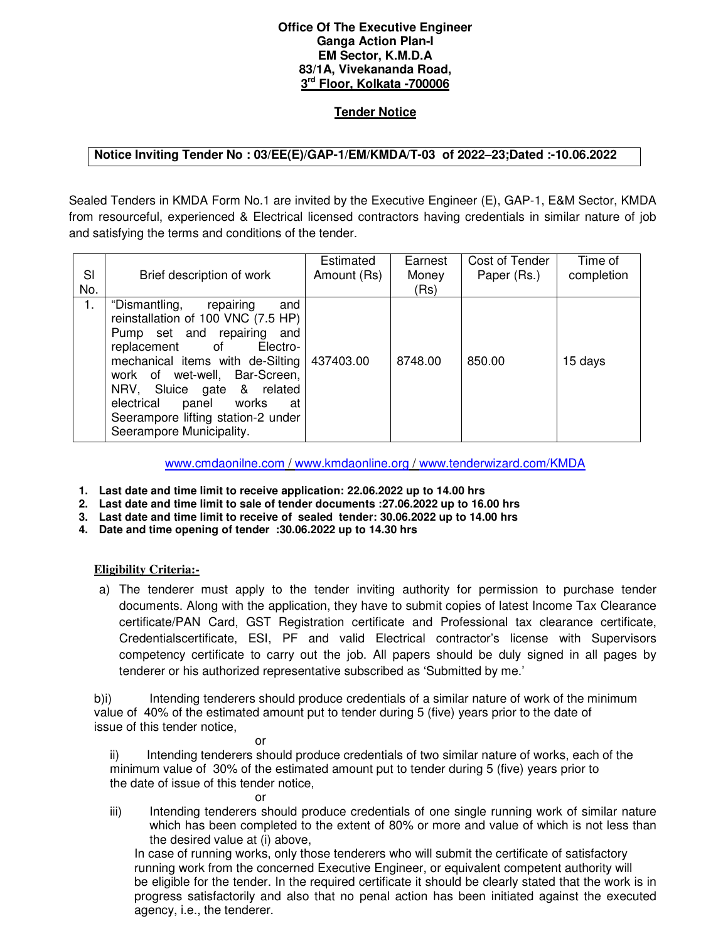## **Office Of The Executive Engineer Ganga Action Plan-I EM Sector, K.M.D.A 83/1A, Vivekananda Road, 3 rd Floor, Kolkata -700006**

## **Tender Notice**

## **Notice Inviting Tender No : 03/EE(E)/GAP-1/EM/KMDA/T-03 of 2022–23;Dated :-10.06.2022**

Sealed Tenders in KMDA Form No.1 are invited by the Executive Engineer (E), GAP-1, E&M Sector, KMDA from resourceful, experienced & Electrical licensed contractors having credentials in similar nature of job and satisfying the terms and conditions of the tender.

| SI<br>No. | Brief description of work                                                                                                                                                                                                                                                                                                                         | Estimated<br>Amount (Rs) | Earnest<br>Money<br>(Rs) | Cost of Tender<br>Paper (Rs.) | Time of<br>completion |
|-----------|---------------------------------------------------------------------------------------------------------------------------------------------------------------------------------------------------------------------------------------------------------------------------------------------------------------------------------------------------|--------------------------|--------------------------|-------------------------------|-----------------------|
| 1.        | repairing<br>"Dismantling,<br>and<br>reinstallation of 100 VNC (7.5 HP)<br>Pump set and repairing<br>and<br>Electro-<br>replacement<br>of<br>mechanical items with de-Silting<br>work of wet-well, Bar-Screen,<br>NRV, Sluice gate & related<br>electrical<br>panel works<br>at<br>Seerampore lifting station-2 under<br>Seerampore Municipality. | 437403.00                | 8748.00                  | 850.00                        | 15 days               |

www.cmdaonilne.com / www.kmdaonline.org / www.tenderwizard.com/KMDA

- **1. Last date and time limit to receive application: 22.06.2022 up to 14.00 hrs**
- **2. Last date and time limit to sale of tender documents :27.06.2022 up to 16.00 hrs**
- **3. Last date and time limit to receive of sealed tender: 30.06.2022 up to 14.00 hrs**
- **4. Date and time opening of tender :30.06.2022 up to 14.30 hrs**

## **Eligibility Criteria:-**

a) The tenderer must apply to the tender inviting authority for permission to purchase tender documents. Along with the application, they have to submit copies of latest Income Tax Clearance certificate/PAN Card, GST Registration certificate and Professional tax clearance certificate, Credentialscertificate, ESI, PF and valid Electrical contractor's license with Supervisors competency certificate to carry out the job. All papers should be duly signed in all pages by tenderer or his authorized representative subscribed as 'Submitted by me.'

b)i) Intending tenderers should produce credentials of a similar nature of work of the minimum value of 40% of the estimated amount put to tender during 5 (five) years prior to the date of issue of this tender notice,

**or** *order* ii) Intending tenderers should produce credentials of two similar nature of works, each of the minimum value of 30% of the estimated amount put to tender during 5 (five) years prior to the date of issue of this tender notice,

- **or** *or or*
- iii) Intending tenderers should produce credentials of one single running work of similar nature which has been completed to the extent of 80% or more and value of which is not less than the desired value at (i) above,

In case of running works, only those tenderers who will submit the certificate of satisfactory running work from the concerned Executive Engineer, or equivalent competent authority will be eligible for the tender. In the required certificate it should be clearly stated that the work is in progress satisfactorily and also that no penal action has been initiated against the executed agency, i.e., the tenderer.